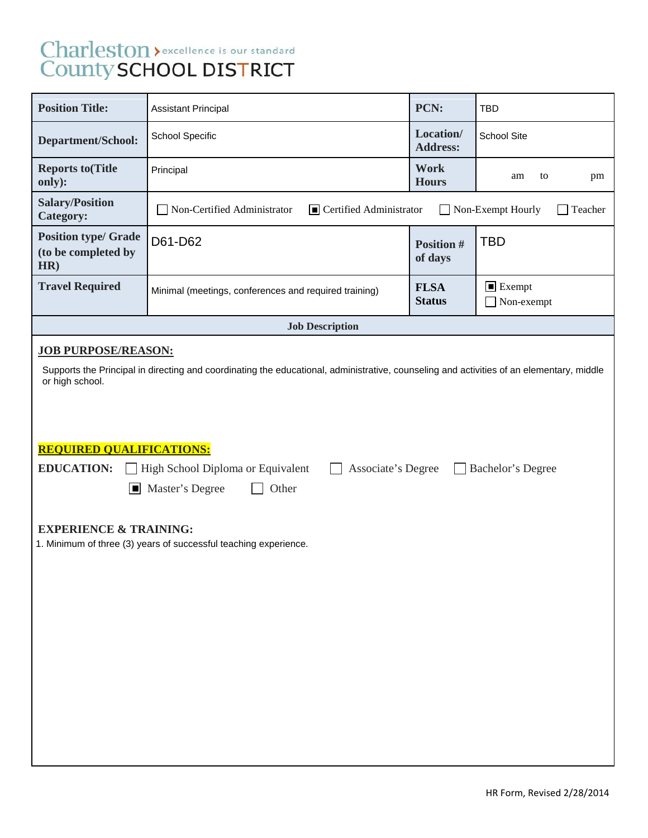# Charleston > excellence is our standard<br>County SCHOOL DISTRICT

| <b>Position Title:</b>                                                                                                                                                                                                                                                                                                                                                                                                                                                      | <b>Assistant Principal</b>                                                                            | PCN:                         | <b>TBD</b>                                 |  |  |  |
|-----------------------------------------------------------------------------------------------------------------------------------------------------------------------------------------------------------------------------------------------------------------------------------------------------------------------------------------------------------------------------------------------------------------------------------------------------------------------------|-------------------------------------------------------------------------------------------------------|------------------------------|--------------------------------------------|--|--|--|
| <b>Department/School:</b>                                                                                                                                                                                                                                                                                                                                                                                                                                                   | School Specific                                                                                       | Location/<br><b>Address:</b> | School Site                                |  |  |  |
| <b>Reports to (Title</b><br>only):                                                                                                                                                                                                                                                                                                                                                                                                                                          | Principal                                                                                             | Work<br><b>Hours</b>         | am<br>to<br>pm                             |  |  |  |
| <b>Salary/Position</b><br><b>Category:</b>                                                                                                                                                                                                                                                                                                                                                                                                                                  | Non-Certified Administrator<br>$\blacksquare$ Certified Administrator<br>Non-Exempt Hourly<br>Teacher |                              |                                            |  |  |  |
| <b>Position type/ Grade</b><br>(to be completed by<br>HR)                                                                                                                                                                                                                                                                                                                                                                                                                   | D61-D62                                                                                               | <b>Position #</b><br>of days | <b>TBD</b>                                 |  |  |  |
| <b>Travel Required</b>                                                                                                                                                                                                                                                                                                                                                                                                                                                      | Minimal (meetings, conferences and required training)                                                 | <b>FLSA</b><br><b>Status</b> | $\blacksquare$ Exempt<br>$\Box$ Non-exempt |  |  |  |
|                                                                                                                                                                                                                                                                                                                                                                                                                                                                             | <b>Job Description</b>                                                                                |                              |                                            |  |  |  |
| <b>JOB PURPOSE/REASON:</b><br>Supports the Principal in directing and coordinating the educational, administrative, counseling and activities of an elementary, middle<br>or high school.<br><b>REQUIRED QUALIFICATIONS:</b><br><b>EDUCATION:</b><br>High School Diploma or Equivalent<br>Associate's Degree<br>Bachelor's Degree<br>Master's Degree<br>Other<br>H<br><b>EXPERIENCE &amp; TRAINING:</b><br>1. Minimum of three (3) years of successful teaching experience. |                                                                                                       |                              |                                            |  |  |  |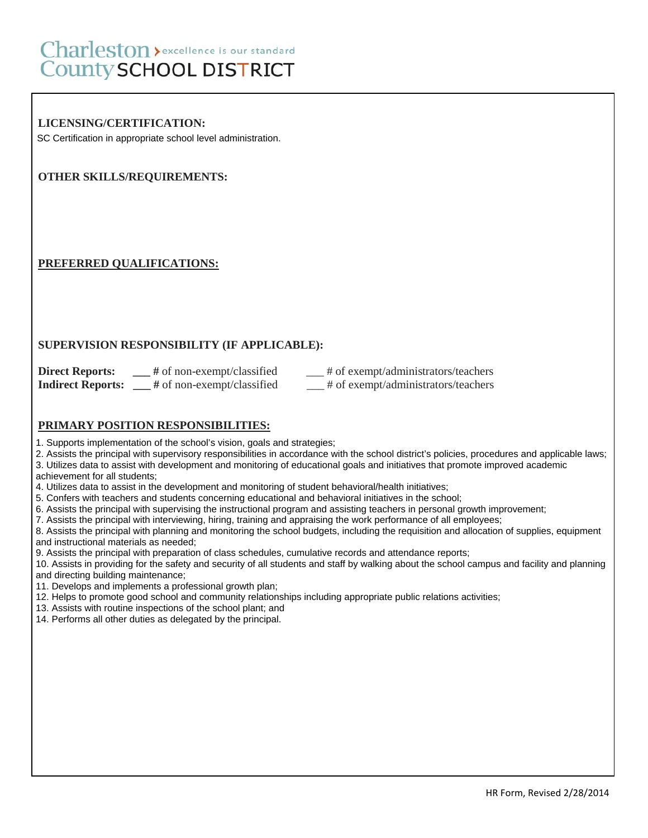# Charleston > excellence is our standard County SCHOOL DISTRICT

## **LICENSING/CERTIFICATION:**

SC Certification in appropriate school level administration.

## **OTHER SKILLS/REQUIREMENTS:**

#### **PREFERRED QUALIFICATIONS:**

#### **SUPERVISION RESPONSIBILITY (IF APPLICABLE):**

| <b>Direct Reports:</b>   | $#$ of non-exempt/classified | # of exempt/administrators/teachers |
|--------------------------|------------------------------|-------------------------------------|
| <b>Indirect Reports:</b> | $#$ of non-exempt/classified | # of exempt/administrators/teachers |

#### **PRIMARY POSITION RESPONSIBILITIES:**

1. Supports implementation of the school's vision, goals and strategies;

2. Assists the principal with supervisory responsibilities in accordance with the school district's policies, procedures and applicable laws;

3. Utilizes data to assist with development and monitoring of educational goals and initiatives that promote improved academic

achievement for all students;

- 4. Utilizes data to assist in the development and monitoring of student behavioral/health initiatives;
- 5. Confers with teachers and students concerning educational and behavioral initiatives in the school;
- 6. Assists the principal with supervising the instructional program and assisting teachers in personal growth improvement;
- 7. Assists the principal with interviewing, hiring, training and appraising the work performance of all employees;

8. Assists the principal with planning and monitoring the school budgets, including the requisition and allocation of supplies, equipment and instructional materials as needed;

9. Assists the principal with preparation of class schedules, cumulative records and attendance reports;

10. Assists in providing for the safety and security of all students and staff by walking about the school campus and facility and planning and directing building maintenance;

- 11. Develops and implements a professional growth plan;
- 12. Helps to promote good school and community relationships including appropriate public relations activities;
- 13. Assists with routine inspections of the school plant; and
- 14. Performs all other duties as delegated by the principal.